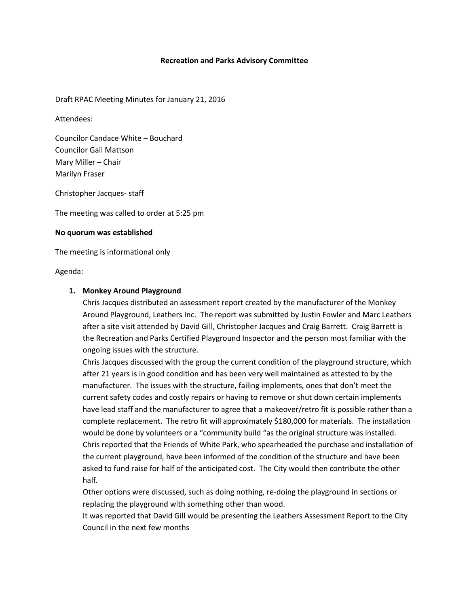### **Recreation and Parks Advisory Committee**

Draft RPAC Meeting Minutes for January 21, 2016

Attendees:

Councilor Candace White – Bouchard Councilor Gail Mattson Mary Miller – Chair Marilyn Fraser

Christopher Jacques- staff

The meeting was called to order at 5:25 pm

#### **No quorum was established**

#### The meeting is informational only

Agenda:

### **1. Monkey Around Playground**

Chris Jacques distributed an assessment report created by the manufacturer of the Monkey Around Playground, Leathers Inc. The report was submitted by Justin Fowler and Marc Leathers after a site visit attended by David Gill, Christopher Jacques and Craig Barrett. Craig Barrett is the Recreation and Parks Certified Playground Inspector and the person most familiar with the ongoing issues with the structure.

Chris Jacques discussed with the group the current condition of the playground structure, which after 21 years is in good condition and has been very well maintained as attested to by the manufacturer. The issues with the structure, failing implements, ones that don't meet the current safety codes and costly repairs or having to remove or shut down certain implements have lead staff and the manufacturer to agree that a makeover/retro fit is possible rather than a complete replacement. The retro fit will approximately \$180,000 for materials. The installation would be done by volunteers or a "community build "as the original structure was installed. Chris reported that the Friends of White Park, who spearheaded the purchase and installation of the current playground, have been informed of the condition of the structure and have been asked to fund raise for half of the anticipated cost. The City would then contribute the other half.

Other options were discussed, such as doing nothing, re-doing the playground in sections or replacing the playground with something other than wood.

It was reported that David Gill would be presenting the Leathers Assessment Report to the City Council in the next few months